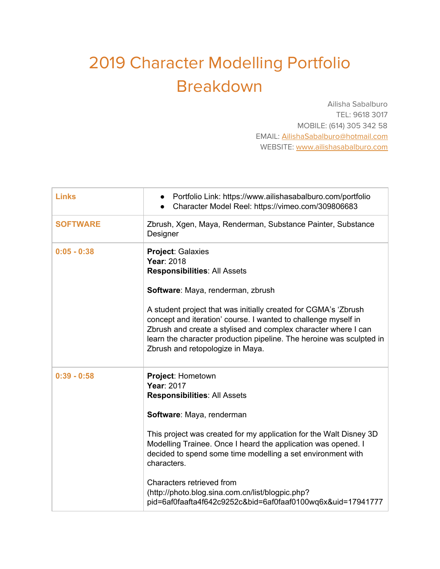## 2019 Character Modelling Portfolio Breakdown

Ailisha Sabalburo TEL: 9618 3017 MOBILE: (614) 305 342 58 EMAIL: [AilishaSabalburo@hotmail.com](mailto:AilishaSabalburo@hotmail.com) WEBSITE: [www.ailishasabalburo.com](http://www.ailishasabalburo.com/)

| <b>Links</b>    | Portfolio Link: https://www.ailishasabalburo.com/portfolio<br>Character Model Reel: https://vimeo.com/309806683                                                                                                                              |
|-----------------|----------------------------------------------------------------------------------------------------------------------------------------------------------------------------------------------------------------------------------------------|
| <b>SOFTWARE</b> | Zbrush, Xgen, Maya, Renderman, Substance Painter, Substance<br>Designer                                                                                                                                                                      |
| $0:05 - 0:38$   | <b>Project: Galaxies</b><br>Year: 2018<br><b>Responsibilities: All Assets</b><br>Software: Maya, renderman, zbrush<br>A student project that was initially created for CGMA's 'Zbrush                                                        |
|                 | concept and iteration' course. I wanted to challenge myself in<br>Zbrush and create a stylised and complex character where I can<br>learn the character production pipeline. The heroine was sculpted in<br>Zbrush and retopologize in Maya. |
| $0:39 - 0:58$   | Project: Hometown<br>Year: 2017<br><b>Responsibilities: All Assets</b><br>Software: Maya, renderman                                                                                                                                          |
|                 | This project was created for my application for the Walt Disney 3D<br>Modelling Trainee. Once I heard the application was opened. I<br>decided to spend some time modelling a set environment with<br>characters.                            |
|                 | Characters retrieved from<br>(http://photo.blog.sina.com.cn/list/blogpic.php?<br>pid=6af0faafta4f642c9252c&bid=6af0faaf0100wq6x&uid=17941777                                                                                                 |